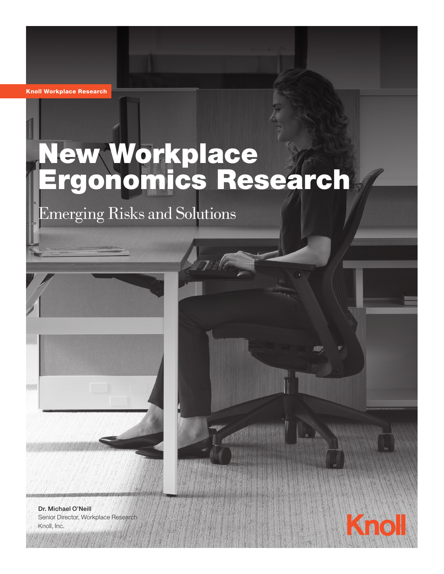Knoll Workplace Research

# New Workplace Ergonomics Research

Emerging Risks and Solutions



Dr. Michael O'Neill Senior Director, Workplace Research Knoll, Inc.

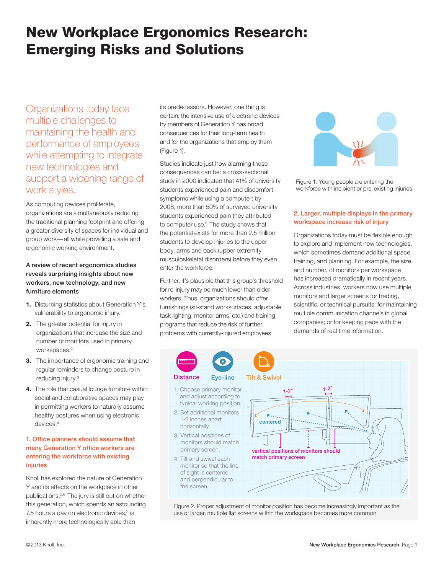# New Workplace Ergonomics Research: Emerging Risks and Solutions

Organizations today face multiple challenges to maintaining the health and performance of employees while attempting to integrate new technologies and support a widening range of work styles.

As computing devices proliferate, organizations are simultaneously reducing the traditional planning footprint and offering a greater diversity of spaces for individual and group work—all while providing a safe and ergonomic working environment.

#### A review of recent ergonomics studies reveals surprising insights about new workers, new technology, and new furniture elements

- **1.** Disturbing statistics about Generation Y's vulnerability to ergonomic injury.1
- **2.** The greater potential for injury in organizations that increase the size and number of monitors used in primary workspaces.<sup>2</sup>
- **3.** The importance of ergonomic training and regular reminders to change posture in reducing injury.3
- **4.** The role that casual lounge furniture within social and collaborative spaces may play in permitting workers to naturally assume healthy postures when using electronic devices.4

#### 1. Office planners should assume that many Generation Y office workers are entering the workforce with existing injuries

Knoll has explored the nature of Generation Y and its effects on the workplace in other publications.5,6 The jury is still out on whether this generation, which spends an astounding 7.5 hours a day on electronic devices,<sup>7</sup> is inherently more technologically able than

its predecessors. However, one thing is certain: the intensive use of electronic devices by members of Generation Y has broad consequences for their long-term health and for the organizations that employ them (Figure 1).

Studies indicate just how alarming those consequences can be: a cross-sectional study in 2000 indicated that 41% of university students experienced pain and discomfort symptoms while using a computer; by 2008, more than 50% of surveyed university students experienced pain they attributed to computer use.<sup>8</sup> The study shows that the potential exists for more than 2.5 million students to develop injuries to the upper body, arms and back (upper extremity musculoskeletal disorders) before they even enter the workforce.

Further, it's plausible that this group's threshold for re-injury may be much lower than older workers. Thus, organizations should offer furnishings (sit-stand worksurfaces, adjustable task lighting, monitor arms, etc.) and training programs that reduce the risk of further problems with currently-injured employees.



Figure 1. Young people are entering the workforce with incipient or pre-existing injuries

#### 2. Larger, multiple displays in the primary workspace increase risk of injury

Organizations today must be flexible enough to explore and implement new technologies, which sometimes demand additional space, training, and planning. For example, the size, and number, of monitors per workspace has increased dramatically in recent years. Across industries, workers now use multiple monitors and larger screens for trading, scientific, or technical pursuits; for maintaining multiple communication channels in global companies; or for keeping pace with the demands of real time information.



Figure 2. Proper adjustment of monitor position has become increasingly important as the use of larger, multiple flat screens within the workspace becomes more common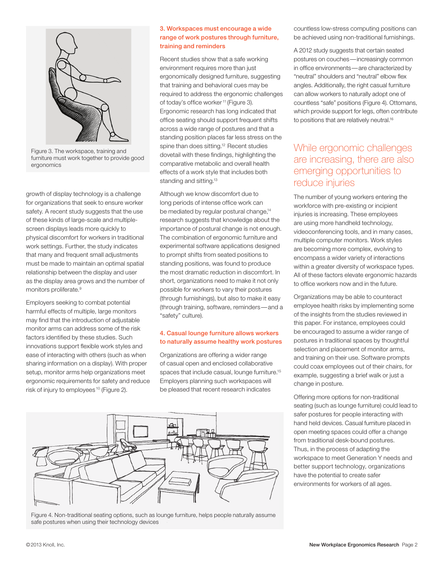

Figure 3. The workspace, training and furniture must work together to provide good ergonomics

growth of display technology is a challenge for organizations that seek to ensure worker safety. A recent study suggests that the use of these kinds of large-scale and multiplescreen displays leads more quickly to physical discomfort for workers in traditional work settings. Further, the study indicates that many and frequent small adjustments must be made to maintain an optimal spatial relationship between the display and user as the display area grows and the number of monitors proliferate.<sup>9</sup>

Employers seeking to combat potential harmful effects of multiple, large monitors may find that the introduction of adjustable monitor arms can address some of the risk factors identified by these studies. Such innovations support flexible work styles and ease of interacting with others (such as when sharing information on a display). With proper setup, monitor arms help organizations meet ergonomic requirements for safety and reduce risk of injury to employees 10 (Figure 2).

#### 3. Workspaces must encourage a wide range of work postures through furniture, training and reminders

Recent studies show that a safe working environment requires more than just ergonomically designed furniture, suggesting that training and behavioral cues may be required to address the ergonomic challenges of today's office worker<sup>11</sup> (Figure 3). Ergonomic research has long indicated that office seating should support frequent shifts across a wide range of postures and that a standing position places far less stress on the spine than does sitting.<sup>12</sup> Recent studies dovetail with these findings, highlighting the comparative metabolic and overall health effects of a work style that includes both standing and sitting.<sup>13</sup>

Although we know discomfort due to long periods of intense office work can be mediated by regular postural change,<sup>14</sup> research suggests that knowledge about the importance of postural change is not enough. The combination of ergonomic furniture and experimental software applications designed to prompt shifts from seated positions to standing positions, was found to produce the most dramatic reduction in discomfort. In short, organizations need to make it not only possible for workers to vary their postures (through furnishings), but also to make it easy (through training, software, reminders—and a "safety" culture).

#### 4. Casual lounge furniture allows workers to naturally assume healthy work postures

Organizations are offering a wider range of casual open and enclosed collaborative spaces that include casual, lounge furniture.<sup>15</sup> Employers planning such workspaces will be pleased that recent research indicates



Figure 4. Non-traditional seating options, such as lounge furniture, helps people naturally assume safe postures when using their technology devices

countless low-stress computing positions can be achieved using non-traditional furnishings.

A 2012 study suggests that certain seated postures on couches—increasingly common in office environments—are characterized by "neutral" shoulders and "neutral" elbow flex angles. Additionally, the right casual furniture can allow workers to naturally adopt one of countless "safe" positions (Figure 4). Ottomans, which provide support for legs, often contribute to positions that are relatively neutral.<sup>16</sup>

## While ergonomic challenges are increasing, there are also emerging opportunities to reduce injuries

The number of young workers entering the workforce with pre-existing or incipient injuries is increasing. These employees are using more handheld technology, videoconferencing tools, and in many cases, multiple computer monitors. Work styles are becoming more complex, evolving to encompass a wider variety of interactions within a greater diversity of workspace types. All of these factors elevate ergonomic hazards to office workers now and in the future.

Organizations may be able to counteract employee health risks by implementing some of the insights from the studies reviewed in this paper. For instance, employees could be encouraged to assume a wider range of postures in traditional spaces by thoughtful selection and placement of monitor arms, and training on their use. Software prompts could coax employees out of their chairs, for example, suggesting a brief walk or just a change in posture.

Offering more options for non-traditional seating (such as lounge furniture) could lead to safer postures for people interacting with hand held devices. Casual furniture placed in open meeting spaces could offer a change from traditional desk-bound postures. Thus, in the process of adapting the workspace to meet Generation Y needs and better support technology, organizations have the potential to create safer environments for workers of all ages.